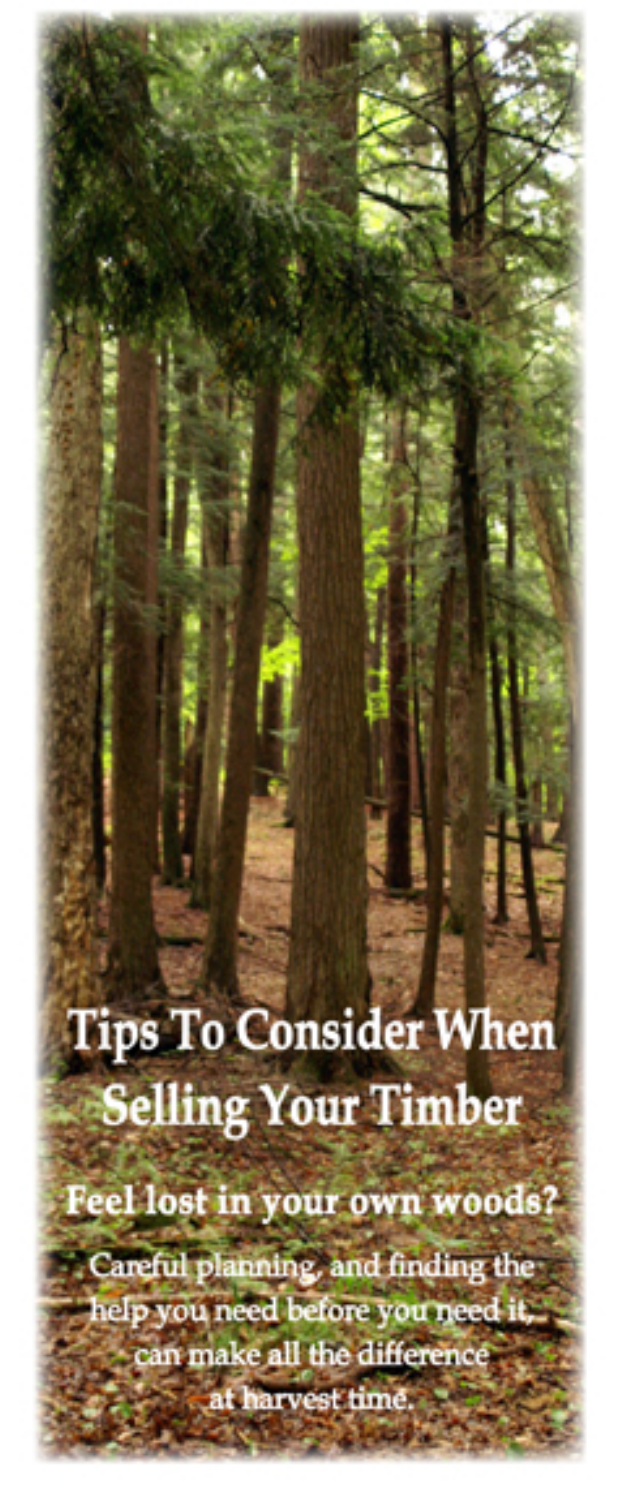**Tips To Consider When Selling Your Timber** 

Feel lost in your own woods?

Careful planning, and finding the help you need before you need it, can make all the difference

at harvest time.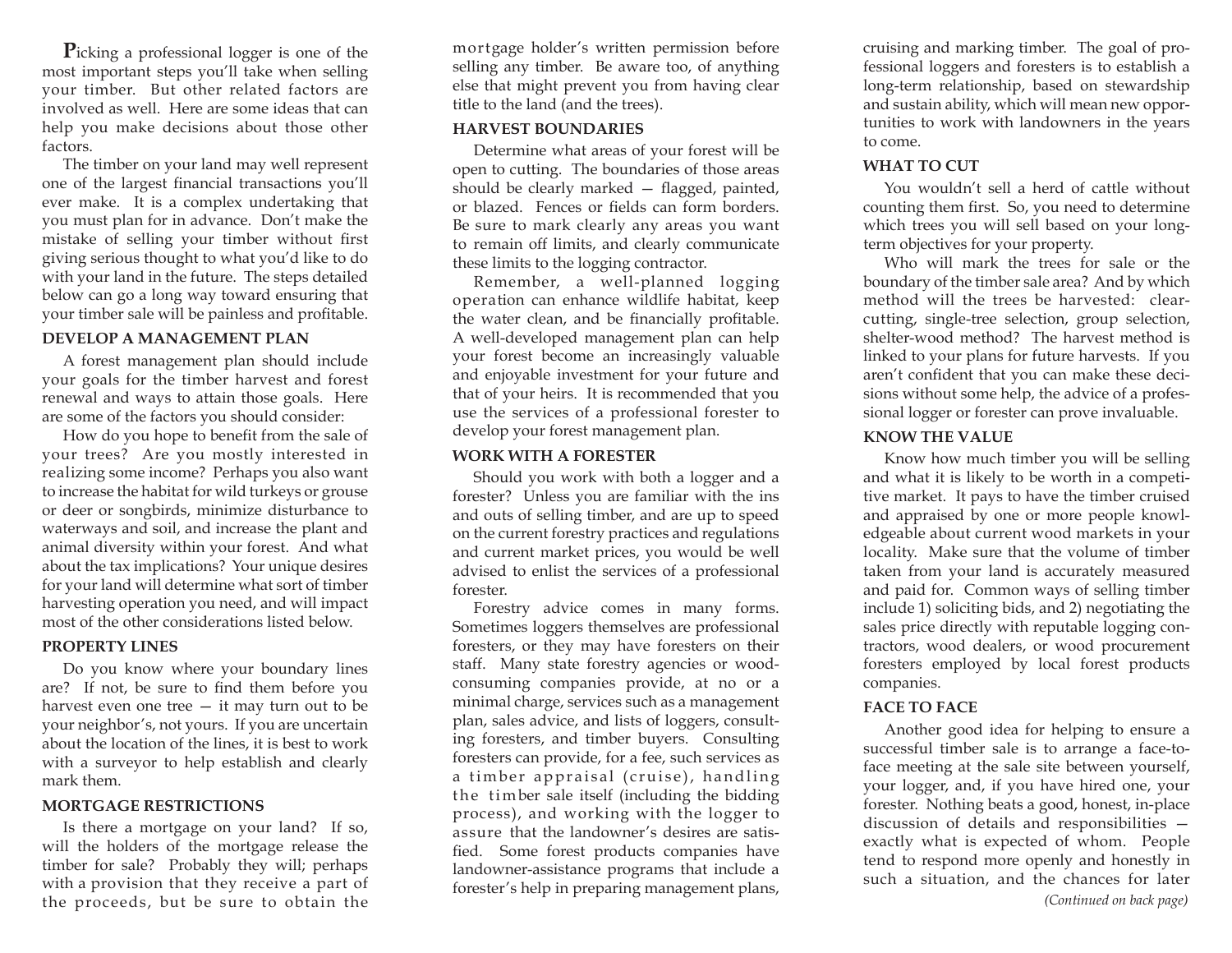**P**icking a professional logger is one of the most important steps you'll take when selling your timber. But other related factors are involved as well. Here are some ideas that can help you make decisions about those other factors.

The timber on your land may well represent one of the largest financial transactions you'll ever make. It is a complex undertaking that you must plan for in advance. Don't make the mistake of selling your timber without first giving serious thought to what you'd like to do with your land in the future. The steps detailed below can go a long way toward ensuring that your timber sale will be painless and profitable.

### **DEVELOP A MANAGEMENT PLAN**

A forest management plan should include your goals for the timber harvest and forest renewal and ways to attain those goals. Here are some of the factors you should consider:

How do you hope to benefit from the sale of your trees? Are you mostly interested in realizing some income? Perhaps you also want to increase the habitat for wild turkeys or grouse or deer or songbirds, minimize disturbance to waterways and soil, and increase the plant and animal diversity within your forest. And what about the tax implications? Your unique desires for your land will determine what sort of timber harvesting operation you need, and will impact most of the other considerations listed below.

#### **PROPERTY LINES**

Do you know where your boundary lines are? If not, be sure to find them before you harvest even one tree — it may turn out to be your neighbor's, not yours. If you are uncertain about the location of the lines, it is best to work with a surveyor to help establish and clearly mark them.

#### **MORTGAGE RESTRICTIONS**

Is there a mortgage on your land? If so, will the holders of the mortgage release the timber for sale? Probably they will; perhaps with a provision that they receive a part of the proceeds, but be sure to obtain the

mortgage holder's written permission before selling any timber. Be aware too, of anything else that might prevent you from having clear title to the land (and the trees).

#### **HARVEST BOUNDARIES**

Determine what areas of your forest will be open to cutting. The boundaries of those areas should be clearly marked — flagged, painted, or blazed. Fences or fields can form borders. Be sure to mark clearly any areas you want to remain off limits, and clearly communicate these limits to the logging contractor.

Remember, a well-planned logging operation can enhance wildlife habitat, keep the water clean, and be financially profitable. A well-developed management plan can help your forest become an increasingly valuable and enjoyable investment for your future and that of your heirs. It is recommended that you use the services of a professional forester to develop your forest management plan.

### **WORK WITH A FORESTER**

Should you work with both a logger and a forester? Unless you are familiar with the ins and outs of selling timber, and are up to speed on the current forestry practices and regulations and current market prices, you would be well advised to enlist the services of a professional forester.

Forestry advice comes in many forms. Sometimes loggers themselves are professional foresters, or they may have foresters on their staff. Many state forestry agencies or woodconsuming companies provide, at no or a minimal charge, services such as a management plan, sales advice, and lists of loggers, consulting foresters, and timber buyers. Consulting foresters can provide, for a fee, such services as a timber appraisal (cruise), handling the timber sale itself (including the bidding process), and working with the logger to assure that the landowner's desires are satisfied. Some forest products companies have landowner-assistance programs that include a forester's help in preparing management plans,

cruising and marking timber. The goal of professional loggers and foresters is to establish a long-term relationship, based on stewardship and sustain ability, which will mean new opportunities to work with landowners in the years to come.

### **WHAT TO CUT**

You wouldn't sell a herd of cattle without counting them first. So, you need to determine which trees you will sell based on your longterm objectives for your property.

Who will mark the trees for sale or the boundary of the timber sale area? And by which method will the trees be harvested: clearcutting, single-tree selection, group selection, shelter-wood method? The harvest method is linked to your plans for future harvests. If you aren't confident that you can make these decisions without some help, the advice of a professional logger or forester can prove invaluable.

# **KNOW THE VALUE**

Know how much timber you will be selling and what it is likely to be worth in a competitive market. It pays to have the timber cruised and appraised by one or more people knowledgeable about current wood markets in your locality. Make sure that the volume of timber taken from your land is accurately measured and paid for. Common ways of selling timber include 1) soliciting bids, and 2) negotiating the sales price directly with reputable logging contractors, wood dealers, or wood procurement foresters employed by local forest products companies.

# **FACE TO FACE**

Another good idea for helping to ensure a successful timber sale is to arrange a face-toface meeting at the sale site between yourself, your logger, and, if you have hired one, your forester. Nothing beats a good, honest, in-place discussion of details and responsibilities exactly what is expected of whom. People tend to respond more openly and honestly in such a situation, and the chances for later